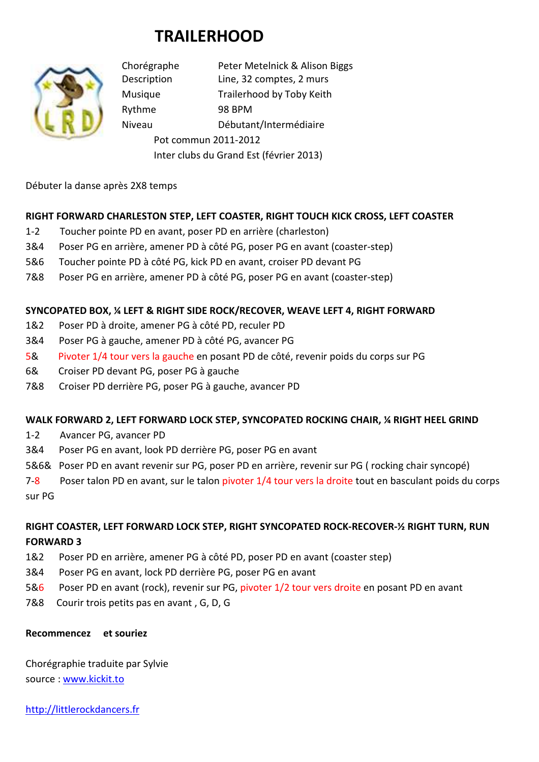# **TRAILERHOOD**



Chorégraphe Peter Metelnick & Alison Biggs Description Line, 32 comptes, 2 murs Musique Trailerhood by Toby Keith Rythme 98 BPM Niveau Débutant/Intermédiaire Pot commun 2011-2012 Inter clubs du Grand Est (février 2013)

Débuter la danse après 2X8 temps

### **RIGHT FORWARD CHARLESTON STEP, LEFT COASTER, RIGHT TOUCH KICK CROSS, LEFT COASTER**

- 1-2 Toucher pointe PD en avant, poser PD en arrière (charleston)
- 3&4 Poser PG en arrière, amener PD à côté PG, poser PG en avant (coaster-step)
- 5&6 Toucher pointe PD à côté PG, kick PD en avant, croiser PD devant PG
- 7&8 Poser PG en arrière, amener PD à côté PG, poser PG en avant (coaster-step)

#### **SYNCOPATED BOX, ¼ LEFT & RIGHT SIDE ROCK/RECOVER, WEAVE LEFT 4, RIGHT FORWARD**

- 1&2 Poser PD à droite, amener PG à côté PD, reculer PD
- 3&4 Poser PG à gauche, amener PD à côté PG, avancer PG
- 5& Pivoter 1/4 tour vers la gauche en posant PD de côté, revenir poids du corps sur PG
- 6& Croiser PD devant PG, poser PG à gauche
- 7&8 Croiser PD derrière PG, poser PG à gauche, avancer PD

#### **WALK FORWARD 2, LEFT FORWARD LOCK STEP, SYNCOPATED ROCKING CHAIR, ¼ RIGHT HEEL GRIND**

- 1-2 Avancer PG, avancer PD
- 3&4 Poser PG en avant, look PD derrière PG, poser PG en avant
- 5&6& Poser PD en avant revenir sur PG, poser PD en arrière, revenir sur PG ( rocking chair syncopé)
- 7-8 Poser talon PD en avant, sur le talon pivoter 1/4 tour vers la droite tout en basculant poids du corps sur PG

## **RIGHT COASTER, LEFT FORWARD LOCK STEP, RIGHT SYNCOPATED ROCK-RECOVER-½ RIGHT TURN, RUN FORWARD 3**

- 1&2 Poser PD en arrière, amener PG à côté PD, poser PD en avant (coaster step)
- 3&4 Poser PG en avant, lock PD derrière PG, poser PG en avant
- 5&6 Poser PD en avant (rock), revenir sur PG, pivoter 1/2 tour vers droite en posant PD en avant
- 7&8 Courir trois petits pas en avant , G, D, G

#### **Recommencez et souriez**

Chorégraphie traduite par Sylvie source : www.kickit.to

http://littlerockdancers.fr